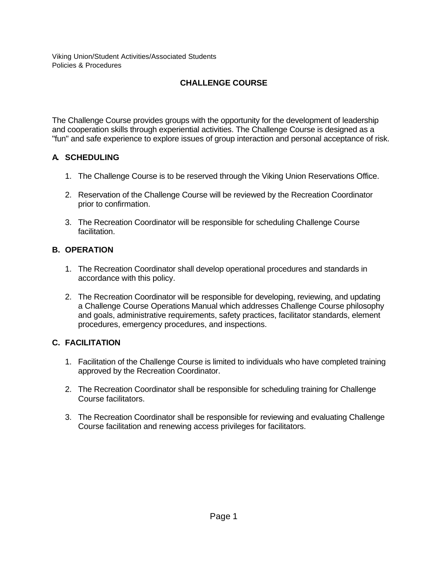# **CHALLENGE COURSE**

The Challenge Course provides groups with the opportunity for the development of leadership and cooperation skills through experiential activities. The Challenge Course is designed as a "fun" and safe experience to explore issues of group interaction and personal acceptance of risk.

### **A. SCHEDULING**

- 1. The Challenge Course is to be reserved through the Viking Union Reservations Office.
- 2. Reservation of the Challenge Course will be reviewed by the Recreation Coordinator prior to confirmation.
- 3. The Recreation Coordinator will be responsible for scheduling Challenge Course facilitation.

# **B. OPERATION**

- 1. The Recreation Coordinator shall develop operational procedures and standards in accordance with this policy.
- 2. The Recreation Coordinator will be responsible for developing, reviewing, and updating a Challenge Course Operations Manual which addresses Challenge Course philosophy and goals, administrative requirements, safety practices, facilitator standards, element procedures, emergency procedures, and inspections.

# **C. FACILITATION**

- 1. Facilitation of the Challenge Course is limited to individuals who have completed training approved by the Recreation Coordinator.
- 2. The Recreation Coordinator shall be responsible for scheduling training for Challenge Course facilitators.
- 3. The Recreation Coordinator shall be responsible for reviewing and evaluating Challenge Course facilitation and renewing access privileges for facilitators.